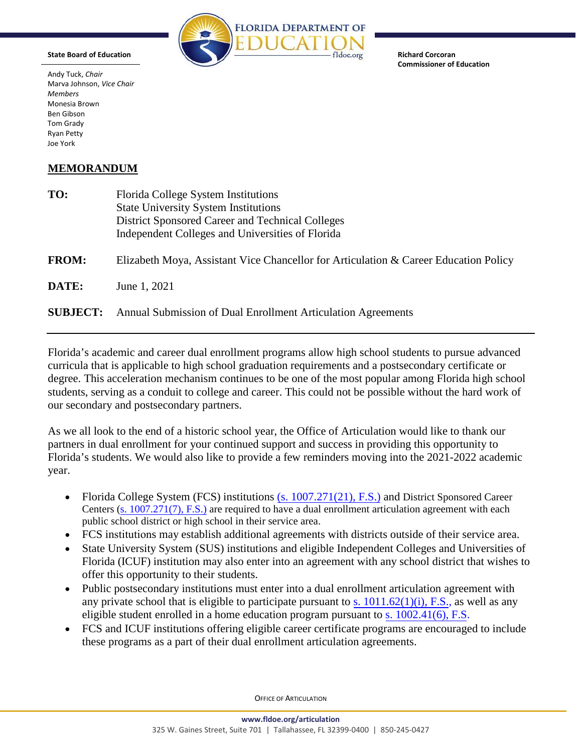

**Richard Corcoran** 

**Commissioner of Education** 

**State Board of Education** 

 Marva Johnson, *Vice Chair*  Andy Tuck, *Chair Members*  Monesia Brown Ben Gibson Tom Grady Ryan Petty Joe York

## **MEMORANDUM**

| TO:             | Florida College System Institutions<br><b>State University System Institutions</b><br>District Sponsored Career and Technical Colleges<br>Independent Colleges and Universities of Florida |
|-----------------|--------------------------------------------------------------------------------------------------------------------------------------------------------------------------------------------|
| <b>FROM:</b>    | Elizabeth Moya, Assistant Vice Chancellor for Articulation & Career Education Policy                                                                                                       |
| DATE:           | June 1, 2021                                                                                                                                                                               |
| <b>SUBJECT:</b> | Annual Submission of Dual Enrollment Articulation Agreements                                                                                                                               |

Florida's academic and career dual enrollment programs allow high school students to pursue advanced curricula that is applicable to high school graduation requirements and a postsecondary certificate or degree. This acceleration mechanism continues to be one of the most popular among Florida high school students, serving as a conduit to college and career. This could not be possible without the hard work of our secondary and postsecondary partners.

As we all look to the end of a historic school year, the Office of Articulation would like to thank our partners in dual enrollment for your continued support and success in providing this opportunity to Florida's students. We would also like to provide a few reminders moving into the 2021-2022 academic year.

- Florida College System (FCS) institutions [\(s. 1007.271\(21\), F.S.\)](http://www.leg.state.fl.us/statutes/index.cfm?App_mode=Display_Statute&Search_String=1007.271&URL=1000-1099/1007/Sections/1007.271.html) and District Sponsored Career Centers [\(s. 1007.271\(7\), F.S.\)](http://www.leg.state.fl.us/statutes/index.cfm?App_mode=Display_Statute&Search_String=1007.271&URL=1000-1099/1007/Sections/1007.271.html) are required to have a dual enrollment articulation agreement with each public school district or high school in their service area.
- FCS institutions may establish additional agreements with districts outside of their service area.
- State University System (SUS) institutions and eligible Independent Colleges and Universities of Florida (ICUF) institution may also enter into an agreement with any school district that wishes to offer this opportunity to their students.
- Public postsecondary institutions must enter into a dual enrollment articulation agreement with any private school that is eligible to participate pursuant to s.  $1011.62(1)(i)$ , F.S., as well as any eligible student enrolled in a home education program pursuant to [s. 1002.41\(6\), F.S.](http://www.leg.state.fl.us/statutes/index.cfm?mode=View%20Statutes&SubMenu=1&App_mode=Display_Statute&Search_String=1002.41&URL=1000-1099/1002/Sections/1002.41.html)
- FCS and ICUF institutions offering eligible career certificate programs are encouraged to include these programs as a part of their dual enrollment articulation agreements.

**OFFICE OF ARTICULATION**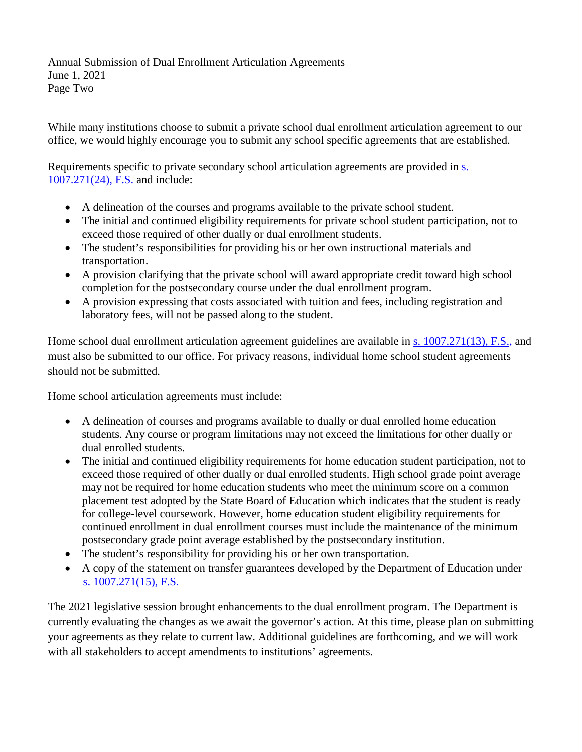Annual Submission of Dual Enrollment Articulation Agreements June 1, 2021 Page Two

 office, we would highly encourage you to submit any school specific agreements that are established. While many institutions choose to submit a private school dual enrollment articulation agreement to our

Requirements specific to private secondary school articulation agreements are provided in  $s$ . [1007.271\(24\), F.S.](http://www.leg.state.fl.us/statutes/index.cfm?App_mode=Display_Statute&Search_String=1007.271&URL=1000-1099/1007/Sections/1007.271.html) and include:

- A delineation of the courses and programs available to the private school student.
- The initial and continued eligibility requirements for private school student participation, not to exceed those required of other dually or dual enrollment students.
- The student's responsibilities for providing his or her own instructional materials and transportation.
- A provision clarifying that the private school will award appropriate credit toward high school completion for the postsecondary course under the dual enrollment program.
- A provision expressing that costs associated with tuition and fees, including registration and laboratory fees, will not be passed along to the student.

Home school dual enrollment articulation agreement guidelines are available in [s. 1007.271\(13\),](http://www.leg.state.fl.us/statutes/index.cfm?App_mode=Display_Statute&Search_String=1007.271&URL=1000-1099/1007/Sections/1007.271.html) F.S., and must also be submitted to our office. For privacy reasons, individual home school student agreements should not be submitted.

Home school articulation agreements must include:

- A delineation of courses and programs available to dually or dual enrolled home education students. Any course or program limitations may not exceed the limitations for other dually or dual enrolled students.
- The initial and continued eligibility requirements for home education student participation, not to exceed those required of other dually or dual enrolled students. High school grade point average may not be required for home education students who meet the minimum score on a common placement test adopted by the State Board of Education which indicates that the student is ready for college-level coursework. However, home education student eligibility requirements for continued enrollment in dual enrollment courses must include the maintenance of the minimum postsecondary grade point average established by the postsecondary institution.
- The student's responsibility for providing his or her own transportation.
- A copy of the statement on transfer guarantees developed by the Department of Education under [s. 1007.271\(15\),](http://www.leg.state.fl.us/statutes/index.cfm?App_mode=Display_Statute&Search_String=1007.271&URL=1000-1099/1007/Sections/1007.271.html) F.S.

 currently evaluating the changes as we await the governor's action. At this time, please plan on submitting The 2021 legislative session brought enhancements to the dual enrollment program. The Department is your agreements as they relate to current law. Additional guidelines are forthcoming, and we will work with all stakeholders to accept amendments to institutions' agreements.